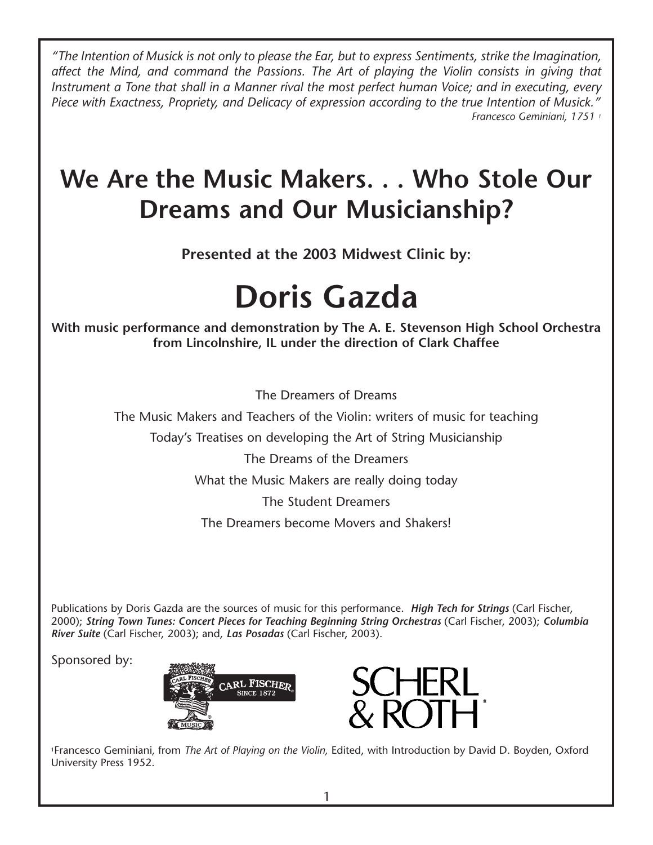*"The Intention of Musick is not only to please the Ear, but to express Sentiments, strike the Imagination, affect the Mind, and command the Passions. The Art of playing the Violin consists in giving that Instrument a Tone that shall in a Manner rival the most perfect human Voice; and in executing, every Piece with Exactness, Propriety, and Delicacy of expression according to the true Intention of Musick." Francesco Geminiani, 1751 1*

# **We Are the Music Makers. . . Who Stole Our Dreams and Our Musicianship?**

**Presented at the 2003 Midwest Clinic by:**

# **Doris Gazda**

**With music performance and demonstration by The A. E. Stevenson High School Orchestra from Lincolnshire, IL under the direction of Clark Chaffee** 

The Dreamers of Dreams

The Music Makers and Teachers of the Violin: writers of music for teaching

Today's Treatises on developing the Art of String Musicianship

The Dreams of the Dreamers

What the Music Makers are really doing today

The Student Dreamers

The Dreamers become Movers and Shakers!

Publications by Doris Gazda are the sources of music for this performance. *High Tech for Strings* (Carl Fischer, 2000); *String Town Tunes: Concert Pieces for Teaching Beginning String Orchestras* (Carl Fischer, 2003); *Columbia River Suite* (Carl Fischer, 2003); and, *Las Posadas* (Carl Fischer, 2003).

Sponsored by:





1Francesco Geminiani*,* from *The Art of Playing on the Violin,* Edited, with Introduction by David D. Boyden, Oxford University Press 1952.

1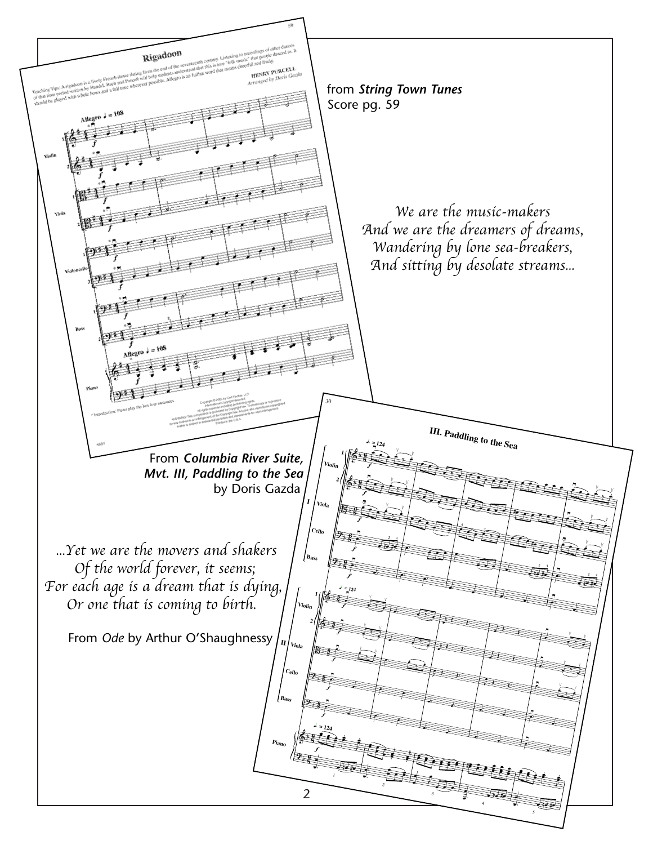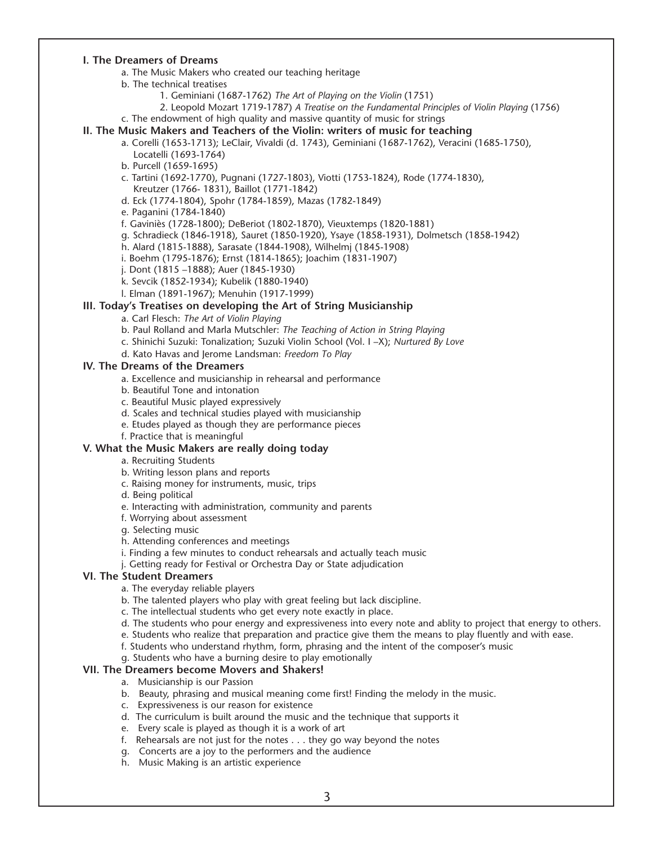#### **I. The Dreamers of Dreams**

- a. The Music Makers who created our teaching heritage
- b. The technical treatises
	- 1. Geminiani (1687-1762) *The Art of Playing on the Violin* (1751)
	- 2. Leopold Mozart 1719-1787) *A Treatise on the Fundamental Principles of Violin Playing* (1756)
- c. The endowment of high quality and massive quantity of music for strings
- **II. The Music Makers and Teachers of the Violin: writers of music for teaching**
	- a. Corelli (1653-1713); LeClair, Vivaldi (d. 1743), Geminiani (1687-1762), Veracini (1685-1750), Locatelli (1693-1764)
		- b. Purcell (1659-1695)
		- c. Tartini (1692-1770), Pugnani (1727-1803), Viotti (1753-1824), Rode (1774-1830), Kreutzer (1766- 1831), Baillot (1771-1842)
		- d. Eck (1774-1804), Spohr (1784-1859), Mazas (1782-1849)
		- e. Paganini (1784-1840)
		- f. Gaviniès (1728-1800); DeBeriot (1802-1870), Vieuxtemps (1820-1881)
		- g. Schradieck (1846-1918), Sauret (1850-1920), Ysaye (1858-1931), Dolmetsch (1858-1942)
		- h. Alard (1815-1888), Sarasate (1844-1908), Wilhelmj (1845-1908)
		- i. Boehm (1795-1876); Ernst (1814-1865); Joachim (1831-1907)
		- j. Dont (1815 –1888); Auer (1845-1930)
		- k. Sevcik (1852-1934); Kubelik (1880-1940)
		- l. Elman (1891-1967); Menuhin (1917-1999)

#### **III. Today's Treatises on developing the Art of String Musicianship**

- a. Carl Flesch: *The Art of Violin Playing*
- b. Paul Rolland and Marla Mutschler: *The Teaching of Action in String Playing*
- c. Shinichi Suzuki: Tonalization; Suzuki Violin School (Vol. I –X); *Nurtured By Love*
- d. Kato Havas and Jerome Landsman: *Freedom To Play*

#### **IV. The Dreams of the Dreamers**

- a. Excellence and musicianship in rehearsal and performance
- b. Beautiful Tone and intonation
- c. Beautiful Music played expressively
- d. Scales and technical studies played with musicianship
- e. Etudes played as though they are performance pieces
- f. Practice that is meaningful

## **V. What the Music Makers are really doing today**

- a. Recruiting Students
- b. Writing lesson plans and reports
- c. Raising money for instruments, music, trips
- d. Being political
- e. Interacting with administration, community and parents
- f. Worrying about assessment
- g. Selecting music
- h. Attending conferences and meetings
- i. Finding a few minutes to conduct rehearsals and actually teach music
- j. Getting ready for Festival or Orchestra Day or State adjudication

## **VI. The Student Dreamers**

- a. The everyday reliable players
- b. The talented players who play with great feeling but lack discipline.
- c. The intellectual students who get every note exactly in place.
- d. The students who pour energy and expressiveness into every note and ablity to project that energy to others.
- e. Students who realize that preparation and practice give them the means to play fluently and with ease.
- f. Students who understand rhythm, form, phrasing and the intent of the composer's music
- g. Students who have a burning desire to play emotionally

#### **VII. The Dreamers become Movers and Shakers!**

- a. Musicianship is our Passion
- b. Beauty, phrasing and musical meaning come first! Finding the melody in the music.
- c. Expressiveness is our reason for existence
- d. The curriculum is built around the music and the technique that supports it
- e. Every scale is played as though it is a work of art
- f. Rehearsals are not just for the notes . . . they go way beyond the notes
- g. Concerts are a joy to the performers and the audience
- h. Music Making is an artistic experience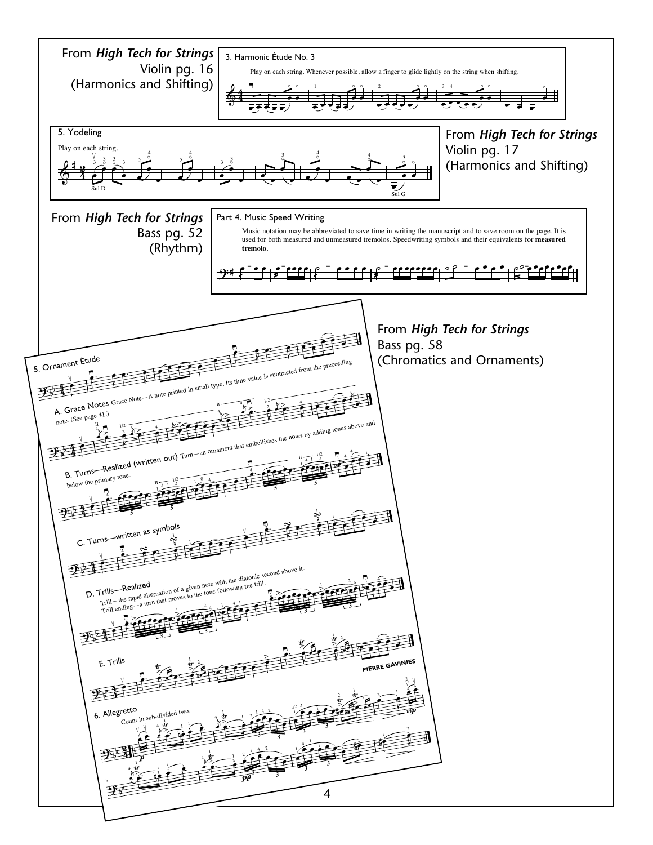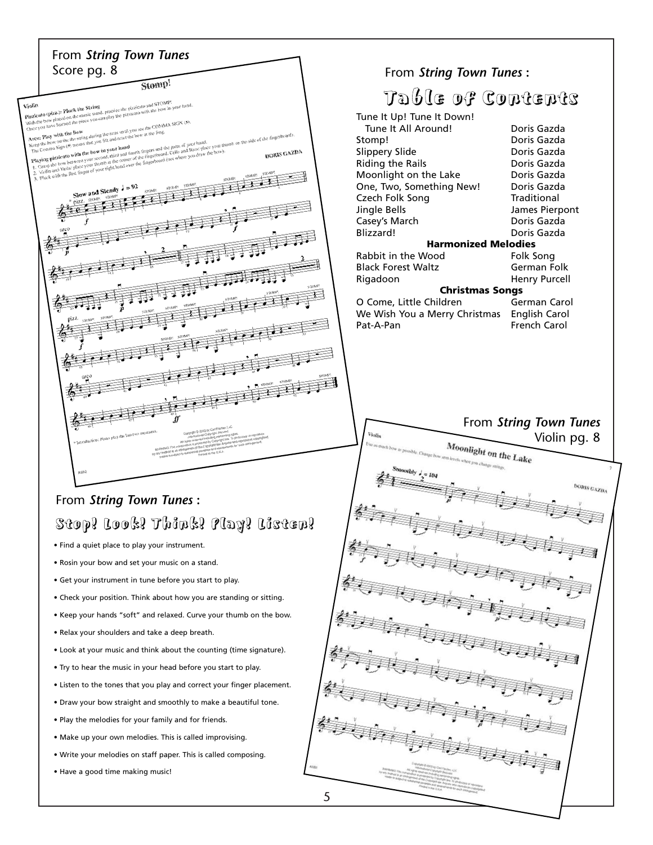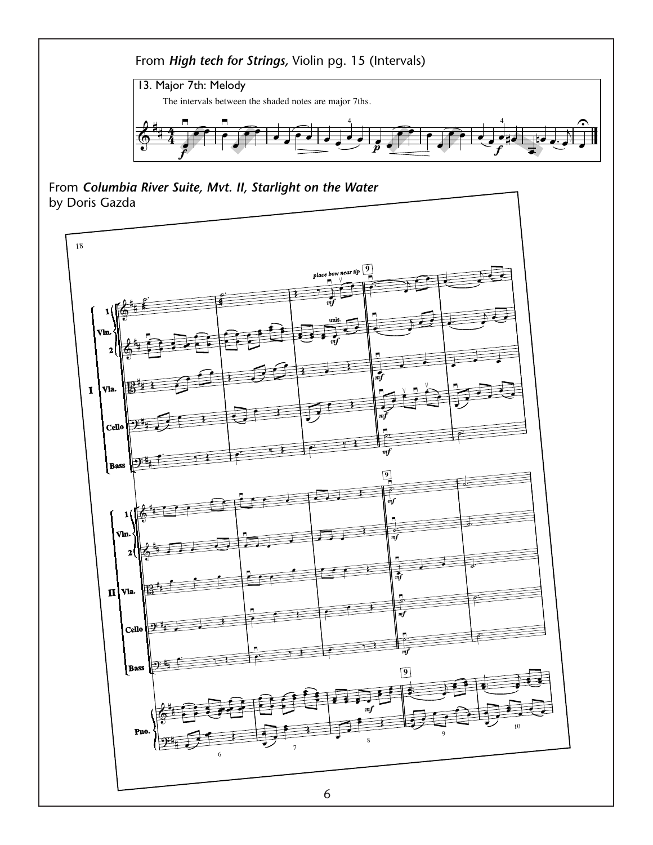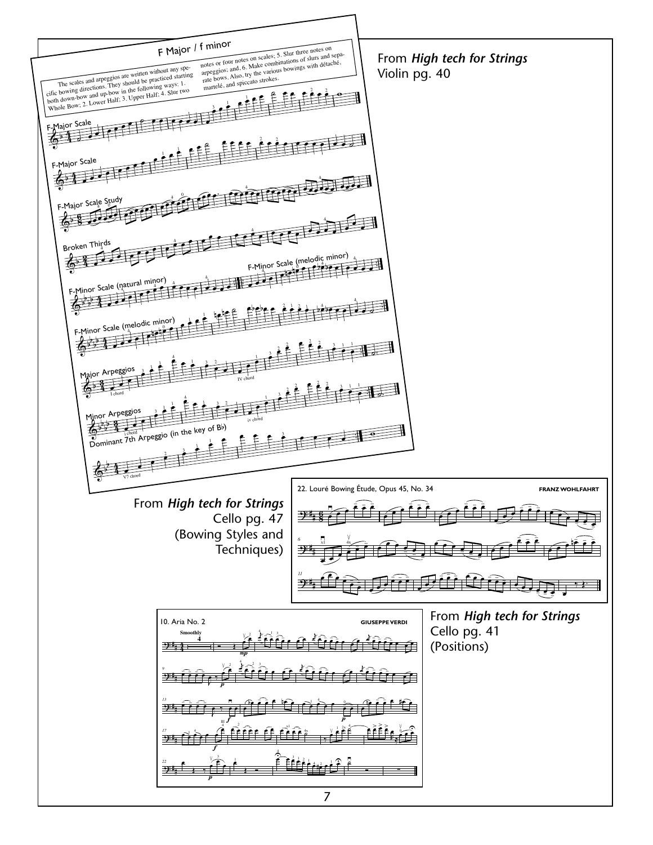